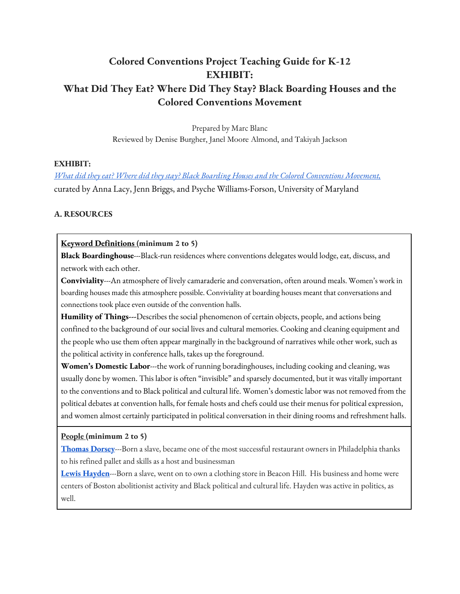# **Colored Conventions Project Teaching Guide for K-12 EXHIBIT: What Did They Eat? Where Did They Stay? Black Boarding Houses and the Colored Conventions Movement**

Prepared by Marc Blanc Reviewed by Denise Burgher, Janel Moore Almond, and Takiyah Jackson

#### **EXHIBIT:**

*What did they eat? Where did they stay? Black Boarding Houses and the Colored Conventions Movement,* curated by Anna Lacy, Jenn Briggs, and Psyche Williams-Forson, University of Maryland

### **A. RESOURCES**

#### **Keyword Definitions (minimum 2 to 5)**

**Black Boardinghouse**---Black-run residences where conventions delegates would lodge, eat, discuss, and network with each other.

**Conviviality**---An atmosphere of lively camaraderie and conversation, often around meals. Women's work in boarding houses made this atmosphere possible. Conviviality at boarding houses meant that conversations and connections took place even outside of the convention halls.

**Humility of Things---**Describes the social phenomenon of certain objects, people, and actions being confined to the background of our social lives and cultural memories. Cooking and cleaning equipment and the people who use them often appear marginally in the background of narratives while other work, such as the political activity in conference halls, takes up the foreground.

**Women's Domestic Labor**---the work of running boradinghouses, including cooking and cleaning, was usually done by women. This labor is often "invisible" and sparsely documented, but it was vitally important to the conventions and to Black political and cultural life. Women's domestic labor was not removed from the political debates at convention halls, for female hosts and chefs could use their menus for political expression, and women almost certainly participated in political conversation in their dining rooms and refreshment halls.

#### **People (minimum 2 to 5)**

**Thomas Dorsey**---Born a slave, became one of the most successful restaurant owners in Philadelphia thanks to his refined pallet and skills as a host and businessman

**Lewis Hayden**---Born a slave, went on to own a clothing store in Beacon Hill. His business and home were centers of Boston abolitionist activity and Black political and cultural life. Hayden was active in politics, as well.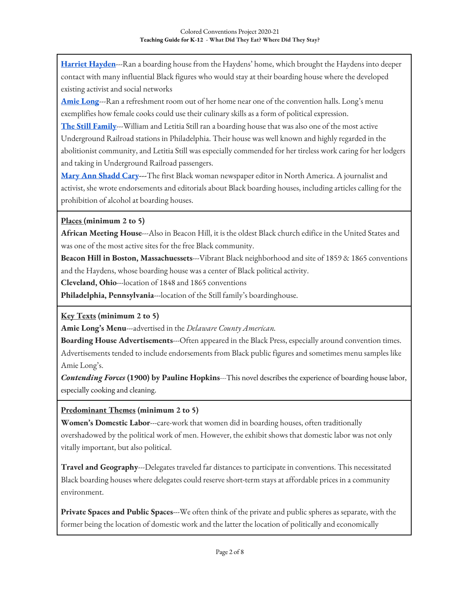**Harriet Hayden**---Ran a boarding house from the Haydens' home, which brought the Haydens into deeper contact with many influential Black figures who would stay at their boarding house where the developed existing activist and social networks

**Amie Long**---Ran a refreshment room out of her home near one of the convention halls. Long's menu exemplifies how female cooks could use their culinary skills as a form of political expression.

**The Still Family**---William and Letitia Still ran a boarding house that was also one of the most active Underground Railroad stations in Philadelphia. Their house was well known and highly regarded in the abolitionist community, and Letitia Still was especially commended for her tireless work caring for her lodgers and taking in Underground Railroad passengers.

**Mary Ann Shadd Cary---**The first Black woman newspaper editor in North America. A journalist and activist, she wrote endorsements and editorials about Black boarding houses, including articles calling for the prohibition of alcohol at boarding houses.

## **Places (minimum 2 to 5)**

**African Meeting House**---Also in Beacon Hill, it is the oldest Black church edifice in the United States and was one of the most active sites for the free Black community.

**Beacon Hill in Boston, Massachuessets**---Vibrant Black neighborhood and site of 1859 & 1865 conventions and the Haydens, whose boarding house was a center of Black political activity.

**Cleveland, Ohio**---location of 1848 and 1865 conventions

**Philadelphia, Pennsylvania**---location of the Still family's boardinghouse.

### **Key Texts (minimum 2 to 5)**

**Amie Long's Menu**---advertised in the *Delaware County American.*

**Boarding House Advertisements---**Often appeared in the Black Press, especially around convention times. Advertisements tended to include endorsements from Black public figures and sometimes menu samples like Amie Long's.

*Contending Forces* **(1900) by Pauline Hopkins**---This novel describes the experience of boarding house labor, especially cooking and cleaning.

### **Predominant Themes (minimum 2 to 5)**

**Women's Domestic Labor**---care-work that women did in boarding houses, often traditionally overshadowed by the political work of men. However, the exhibit shows that domestic labor was not only vitally important, but also political.

**Travel and Geography**---Delegates traveled far distances to participate in conventions. This necessitated Black boarding houses where delegates could reserve short-term stays at affordable prices in a community environment.

**Private Spaces and Public Spaces**---We often think of the private and public spheres as separate, with the former being the location of domestic work and the latter the location of politically and economically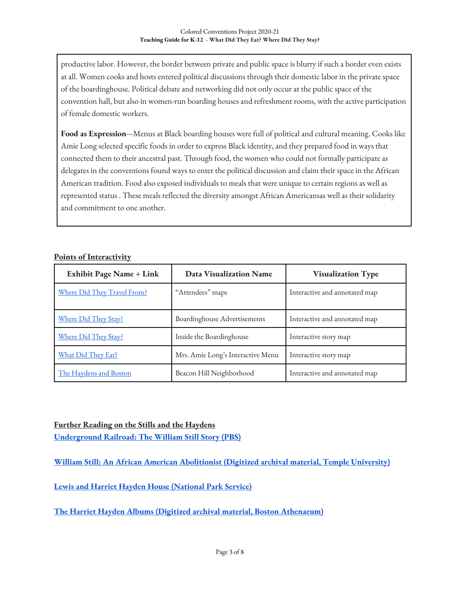productive labor. However, the border between private and public space is blurry if such a border even exists at all. Women cooks and hosts entered political discussions through their domestic labor in the private space of the boardinghouse. Political debate and networking did not only occur at the public space of the convention hall, but also in women-run boarding houses and refreshment rooms, with the active participation of female domestic workers.

**Food as Expression**---Menus at Black boarding houses were full of political and cultural meaning. Cooks like Amie Long selected specific foods in order to express Black identity, and they prepared food in ways that connected them to their ancestral past. Through food, the women who could not formally participate as delegates in the conventions found ways to enter the political discussion and claim their space in the African American tradition. Food also exposed individuals to meals that were unique to certain regions as well as represented status . These meals reflected the diversity amongst African Americansas well as their solidarity and commitment to one another.

#### **Points of Interactivity**

| <b>Exhibit Page Name + Link</b> | <b>Data Visualization Name</b>    | <b>Visualization Type</b>     |
|---------------------------------|-----------------------------------|-------------------------------|
| Where Did They Travel From?     | "Attendees" maps                  | Interactive and annotated map |
| Where Did They Stay?            | Boardinghouse Advertisements      | Interactive and annotated map |
| Where Did They Stay?            | Inside the Boardinghouse          | Interactive story map         |
| What Did They Eat?              | Mrs. Amie Long's Interactive Menu | Interactive story map         |
| The Haydens and Boston          | Beacon Hill Neighborhood          | Interactive and annotated map |

#### **Further Reading on the Stills and the Haydens**

**Underground Railroad: The William Still Story (PBS)**

**William Still: An African American Abolitionist (Digitized archival material, Temple University)**

**Lewis and Harriet Hayden House (National Park Service)**

**The Harriet Hayden Albums (Digitized archival material, Boston Athenaeum)**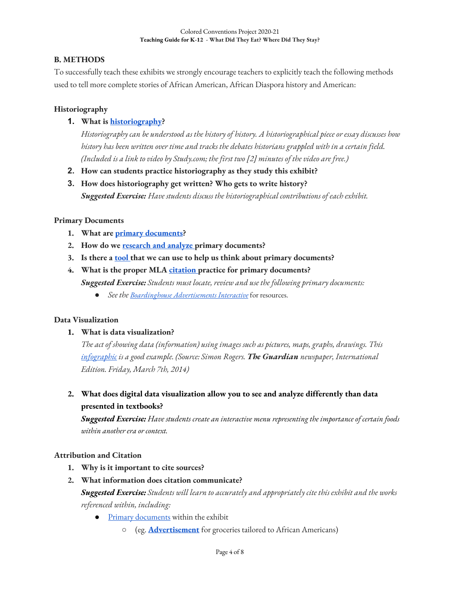### **B. METHODS**

To successfully teach these exhibits we strongly encourage teachers to explicitly teach the following methods used to tell more complete stories of African American, African Diaspora history and American:

### **Historiography**

### **1. What is historiography?**

*Historiography can be understood as the history of history. A historiographical piece or essay discusses how history has been written over time and tracks the debates historians grappled with in a certain field. (Included is a link to video by Study.com; the first two [2] minutes of the video are free.)*

- **2. How can students practice historiography as they study this exhibit?**
- **3. How does historiography get written? Who gets to write history?** *Suggested Exercise: Have students discuss the historiographical contributions of each exhibit.*

### **Primary Documents**

- **1. What are primary documents?**
- **2. How do we research and analyze primary documents?**
- **3. Is there a tool that we can use to help us think about primary documents?**
- **4. What is the proper MLA citation practice for primary documents?** *Suggested Exercise: Students must locate, review and use the following primary documents:*
	- *See the Boardinghouse Advertisements Interactive* for resources.

### **Data Visualization**

#### **1. What is data visualization?**

*The act of showing data (information) using images such as pictures, maps, graphs, drawings. This infographic is a good example. (Source: Simon Rogers. The Guardian newspaper, International Edition. Friday, March 7th, 2014)*

**2. What does digital data visualization allow you to see and analyze differently than data presented in textbooks?**

*Suggested Exercise: Have students create an interactive menu representing the importance of certain foods within another era or context.*

### **Attribution and Citation**

- **1. Why is it important to cite sources?**
- **2. What information does citation communicate?** *Suggested Exercise: Students will learn to accurately and appropriately cite this exhibit and the works referenced within, including:* 
	- **•** Primary documents within the exhibit
		- (eg. **Advertisement** for groceries tailored to African Americans)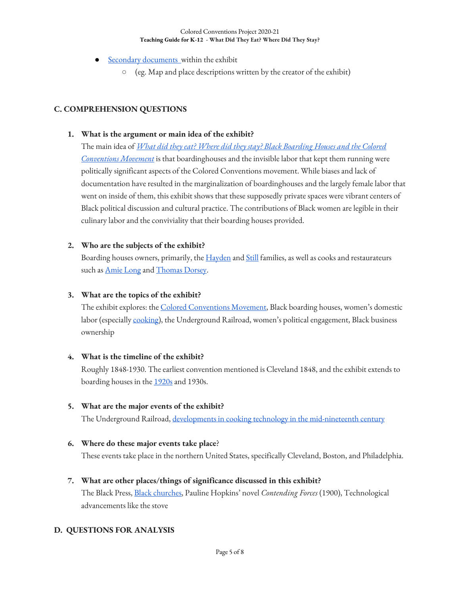- **Secondary documents** within the exhibit
	- (eg. Map and place descriptions written by the creator of the exhibit)

### **C. COMPREHENSION QUESTIONS**

#### **1. What is the argument or main idea of the exhibit?**

The main idea of *What did they eat? Where did they stay? Black Boarding Houses and the Colored Conventions Movement* is that boardinghouses and the invisible labor that kept them running were politically significant aspects of the Colored Conventions movement. While biases and lack of documentation have resulted in the marginalization of boardinghouses and the largely female labor that went on inside of them, this exhibit shows that these supposedly private spaces were vibrant centers of Black political discussion and cultural practice. The contributions of Black women are legible in their culinary labor and the conviviality that their boarding houses provided.

#### **2. Who are the subjects of the exhibit?**

Boarding houses owners, primarily, the Hayden and Still families, as well as cooks and restaurateurs such as **Amie Long** and **Thomas Dorsey**.

#### **3. What are the topics of the exhibit?**

The exhibit explores: the Colored Conventions Movement, Black boarding houses, women's domestic labor (especially cooking), the Underground Railroad, women's political engagement, Black business ownership

#### **4. What is the timeline of the exhibit?**

Roughly 1848-1930. The earliest convention mentioned is Cleveland 1848, and the exhibit extends to boarding houses in the 1920s and 1930s.

### **5. What are the major events of the exhibit?**

The Underground Railroad, developments in cooking technology in the mid-nineteenth century

#### **6. Where do these major events take place**?

These events take place in the northern United States, specifically Cleveland, Boston, and Philadelphia.

### **7. What are other places/things of significance discussed in this exhibit?**

The Black Press, Black churches, Pauline Hopkins' novel *Contending Forces* (1900), Technological advancements like the stove

### **D. QUESTIONS FOR ANALYSIS**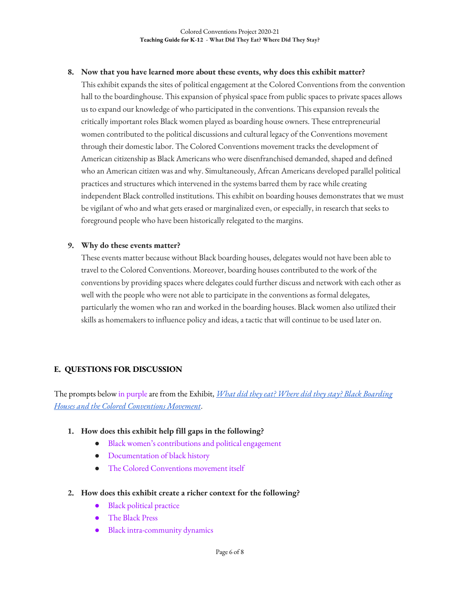#### **8. Now that you have learned more about these events, why does this exhibit matter?**

This exhibit expands the sites of political engagement at the Colored Conventions from the convention hall to the boardinghouse. This expansion of physical space from public spaces to private spaces allows us to expand our knowledge of who participated in the conventions. This expansion reveals the critically important roles Black women played as boarding house owners. These entrepreneurial women contributed to the political discussions and cultural legacy of the Conventions movement through their domestic labor. The Colored Conventions movement tracks the development of American citizenship as Black Americans who were disenfranchised demanded, shaped and defined who an American citizen was and why. Simultaneously, Afrcan Americans developed parallel political practices and structures which intervened in the systems barred them by race while creating independent Black controlled institutions. This exhibit on boarding houses demonstrates that we must be vigilant of who and what gets erased or marginalized even, or especially, in research that seeks to foreground people who have been historically relegated to the margins.

#### **9. Why do these events matter?**

These events matter because without Black boarding houses, delegates would not have been able to travel to the Colored Conventions. Moreover, boarding houses contributed to the work of the conventions by providing spaces where delegates could further discuss and network with each other as well with the people who were not able to participate in the conventions as formal delegates, particularly the women who ran and worked in the boarding houses. Black women also utilized their skills as homemakers to influence policy and ideas, a tactic that will continue to be used later on.

#### **E. QUESTIONS FOR DISCUSSION**

The prompts below in purpleare from the Exhibit, *What did they eat? Where did they stay? Black Boarding Houses and the Colored Conventions Movement*.

#### **1. How does this exhibit help fill gaps in the following?**

- Black women's contributions and political engagement
- Documentation of black history
- The Colored Conventions movement itself

#### **2. How does this exhibit create a richer context for the following?**

- **Black political practice**
- The Black Press
- **Black intra-community dynamics**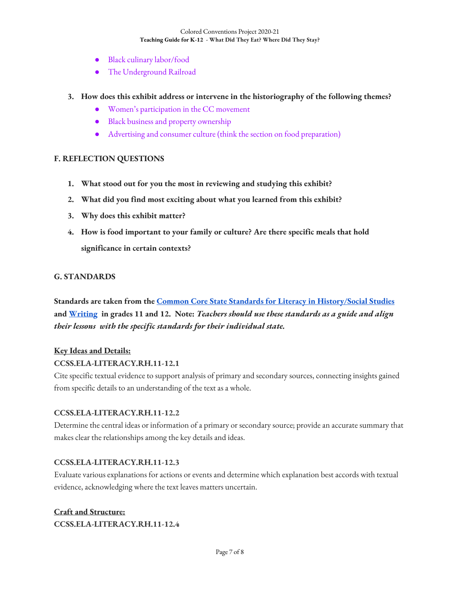- Black culinary labor/food
- The Underground Railroad
- **3. How does this exhibit address or intervene in the historiography of the following themes?**
	- Women's participation in the CC movement
	- Black business and property ownership
	- Advertising and consumer culture (think the section on food preparation)

### **F. REFLECTION QUESTIONS**

- **1. What stood out for you the most in reviewing and studying this exhibit?**
- **2. What did you find most exciting about what you learned from this exhibit?**
- **3. Why does this exhibit matter?**
- **4. How is food important to your family or culture? Are there specific meals that hold significance in certain contexts?**

#### **G. STANDARDS**

**Standards are taken from the Common Core State Standards for Literacy in History/Social Studies and Writing in grades 11 and 12. Note:** *Teachers should use these standards as a guide and align their lessons with the specific standards for their individual state.* 

#### **Key Ideas and Details:**

#### **CCSS.ELA-LITERACY.RH.11-12.1**

Cite specific textual evidence to support analysis of primary and secondary sources, connecting insights gained from specific details to an understanding of the text as a whole.

#### **CCSS.ELA-LITERACY.RH.11-12.2**

Determine the central ideas or information of a primary or secondary source; provide an accurate summary that makes clear the relationships among the key details and ideas.

#### **CCSS.ELA-LITERACY.RH.11-12.3**

Evaluate various explanations for actions or events and determine which explanation best accords with textual evidence, acknowledging where the text leaves matters uncertain.

### **Craft and Structure: CCSS.ELA-LITERACY.RH.11-12.4**